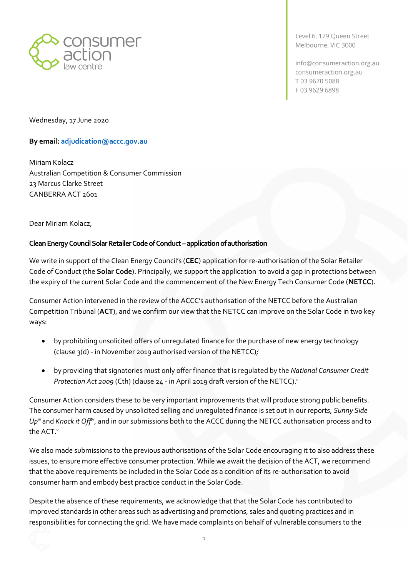

Level 6, 179 Oueen Street Melbourne, VIC 3000

info@consumeraction.org.au consumeraction.org.au T0396705088 F03 9629 6898

Wednesday, 17 June 2020

## **By email: [adjudication@accc.gov.au](mailto:adjudication@accc.gov.au)**

Miriam Kolacz Australian Competition & Consumer Commission 23 Marcus Clarke Street CANBERRA ACT 2601

Dear Miriam Kolacz,

## **Clean Energy Council Solar Retailer Code of Conduct –application of authorisation**

We write in support of the Clean Energy Council's (**CEC**) application for re-authorisation of the Solar Retailer Code of Conduct (the **Solar Code**). Principally, we support the application to avoid a gap in protections between the expiry of the current Solar Code and the commencement of the New Energy Tech Consumer Code (**NETCC**).

Consumer Action intervened in the review of the ACCC's authorisation of the NETCC before the Australian Competition Tribunal (**ACT**), and we confirm our view that the NETCC can improve on the Solar Code in two key ways:

- by prohibiting unsolicited offers of unregulated finance for the purchase of new energy technology (clause 3(d) - in November 2019 authorised version of the NETCC); i
- by providing that signatories must only offer finance that is regulated by the *National Consumer Credit Protection Act 2009* (Cth) (clause 24 - in April 2019 draft version of the NETCC). ii

Consumer Action considers these to be very important improvements that will produce strong public benefits. The consumer harm caused by unsolicited selling and unregulated finance is set out in our reports, *Sunny Side Upiii* and *Knock it Offiv*, and in our submissions both to the ACCC during the NETCC authorisation process and to the ACT. v

We also made submissions to the previous authorisations of the Solar Code encouraging it to also address these issues, to ensure more effective consumer protection. While we await the decision of the ACT, we recommend that the above requirements be included in the Solar Code as a condition of its re-authorisation to avoid consumer harm and embody best practice conduct in the Solar Code.

Despite the absence of these requirements, we acknowledge that that the Solar Code has contributed to improved standards in other areas such as advertising and promotions, sales and quoting practices and in responsibilities for connecting the grid. We have made complaints on behalf of vulnerable consumers to the